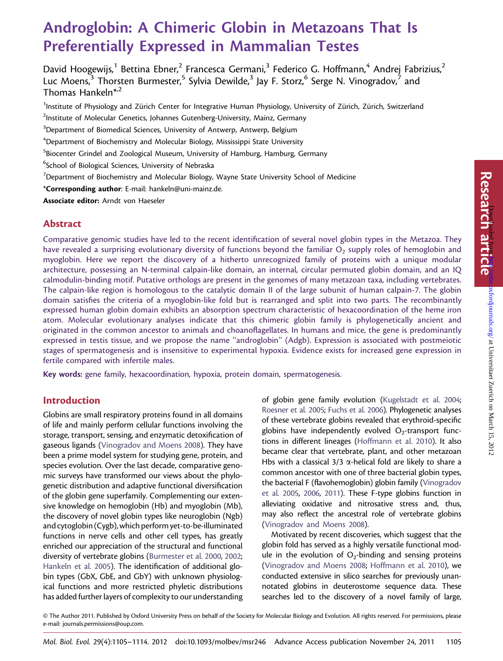# Androglobin: A Chimeric Globin in Metazoans That Is Preferentially Expressed in Mammalian Testes

David Hoogewijs,<sup>1</sup> Bettina Ebner,<sup>2</sup> Francesca Germani,<sup>3</sup> Federico G. Hoffmann,<sup>4</sup> Andrej Fabrizius,<sup>2</sup> Luc Moens,<sup>3</sup> Thorsten Burmester,<sup>5</sup> Sylvia Dewilde,<sup>3</sup> Jay F. Storz,<sup>6</sup> Serge N. Vinogradov,<sup>7</sup> and Thomas Hankeln<sup>\*,2</sup>

 $^{\rm 1}$ Institute of Physiology and Zürich Center for Integrative Human Physiology, University of Zürich, Zürich, Switzerland <sup>2</sup>Institute of Molecular Genetics, Johannes Gutenberg-University, Mainz, Germany

 $^3$ Department of Biomedical Sciences, University of Antwerp, Antwerp, Belgium

 $\mathrm{^4}$ Department of Biochemistry and Molecular Biology, Mississippi State University

<sup>5</sup>Biocenter Grindel and Zoological Museum, University of Hamburg, Hamburg, Germany

<sup>6</sup>School of Biological Sciences, University of Nebraska

 $^7$ Department of Biochemistry and Molecular Biology, Wayne State University School of Medicine

\*Corresponding author: E-mail: hankeln@uni-mainz.de.

Associate editor: Arndt von Haeseler

## Abstract

Comparative genomic studies have led to the recent identification of several novel globin types in the Metazoa. They have revealed a surprising evolutionary diversity of functions beyond the familiar  $O_2$  supply roles of hemoglobin and myoglobin. Here we report the discovery of a hitherto unrecognized family of proteins with a unique modular architecture, possessing an N-terminal calpain-like domain, an internal, circular permuted globin domain, and an IQ calmodulin-binding motif. Putative orthologs are present in the genomes of many metazoan taxa, including vertebrates. The calpain-like region is homologous to the catalytic domain II of the large subunit of human calpain-7. The globin domain satisfies the criteria of a myoglobin-like fold but is rearranged and split into two parts. The recombinantly expressed human globin domain exhibits an absorption spectrum characteristic of hexacoordination of the heme iron atom. Molecular evolutionary analyses indicate that this chimeric globin family is phylogenetically ancient and originated in the common ancestor to animals and choanoflagellates. In humans and mice, the gene is predominantly expressed in testis tissue, and we propose the name ''androglobin'' (Adgb). Expression is associated with postmeiotic stages of spermatogenesis and is insensitive to experimental hypoxia. Evidence exists for increased gene expression in fertile compared with infertile males.

Key words: gene family, hexacoordination, hypoxia, protein domain, spermatogenesis.

# Introduction

Globins are small respiratory proteins found in all domains of life and mainly perform cellular functions involving the storage, transport, sensing, and enzymatic detoxification of gaseous ligands ([Vinogradov and Moens 2008](#page-9-0)). They have been a prime model system for studying gene, protein, and species evolution. Over the last decade, comparative genomic surveys have transformed our views about the phylogenetic distribution and adaptive functional diversification of the globin gene superfamily. Complementing our extensive knowledge on hemoglobin (Hb) and myoglobin (Mb), the discovery of novel globin types like neuroglobin (Ngb) and cytoglobin (Cygb), which perform yet-to-be-illuminated functions in nerve cells and other cell types, has greatly enriched our appreciation of the structural and functional diversity of vertebrate globins [\(Burmester et al. 2000,](#page-8-0) [2002](#page-8-0); [Hankeln et al. 2005](#page-8-0)). The identification of additional globin types (GbX, GbE, and GbY) with unknown physiological functions and more restricted phyletic distributions has added further layers of complexity to our understanding

of globin gene family evolution [\(Kugelstadt et al. 2004](#page-9-0); [Roesner et al. 2005;](#page-9-0) [Fuchs et al. 2006](#page-8-0)). Phylogenetic analyses of these vertebrate globins revealed that erythroid-specific globins have independently evolved  $O<sub>2</sub>$ -transport functions in different lineages ([Hoffmann et al. 2010](#page-8-0)). It also became clear that vertebrate, plant, and other metazoan Hbs with a classical  $3/3$   $\alpha$ -helical fold are likely to share a common ancestor with one of three bacterial globin types, the bacterial F (flavohemoglobin) globin family [\(Vinogradov](#page-9-0) [et al. 2005](#page-9-0), [2006](#page-9-0), [2011\)](#page-9-0). These F-type globins function in alleviating oxidative and nitrosative stress and, thus, may also reflect the ancestral role of vertebrate globins [\(Vinogradov and Moens 2008](#page-9-0)).

Motivated by recent discoveries, which suggest that the globin fold has served as a highly versatile functional module in the evolution of  $O<sub>2</sub>$ -binding and sensing proteins [\(Vinogradov and Moens 2008;](#page-9-0) [Hoffmann et al. 2010\)](#page-8-0), we conducted extensive in silico searches for previously unannotated globins in deuterostome sequence data. These searches led to the discovery of a novel family of large,

© The Author 2011. Published by Oxford University Press on behalf of the Society for Molecular Biology and Evolution. All rights reserved. For permissions, please e-mail: journals.permissions@oup.com.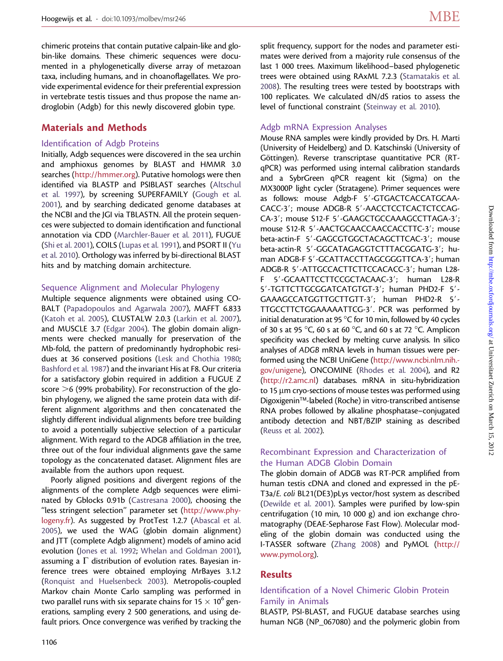chimeric proteins that contain putative calpain-like and globin-like domains. These chimeric sequences were documented in a phylogenetically diverse array of metazoan taxa, including humans, and in choanoflagellates. We provide experimental evidence for their preferential expression in vertebrate testis tissues and thus propose the name androglobin (Adgb) for this newly discovered globin type.

# Materials and Methods

#### Identification of Adgb Proteins

Initially, Adgb sequences were discovered in the sea urchin and amphioxus genomes by BLAST and HMMR 3.0 searches [\(http://hmmer.org](http://hmmer.org)). Putative homologs were then identified via BLASTP and PSIBLAST searches [\(Altschul](#page-8-0) [et al. 1997](#page-8-0)), by screening SUPERFAMILY [\(Gough et al.](#page-8-0) [2001](#page-8-0)), and by searching dedicated genome databases at the NCBI and the JGI via TBLASTN. All the protein sequences were subjected to domain identification and functional annotation via CDD ([Marchler-Bauer et al. 2011\)](#page-9-0), FUGUE [\(Shi et al. 2001](#page-9-0)), COILS ([Lupas et al. 1991\)](#page-9-0), and PSORT II [\(Yu](#page-9-0) [et al. 2010](#page-9-0)). Orthology was inferred by bi-directional BLAST hits and by matching domain architecture.

#### Sequence Alignment and Molecular Phylogeny

Multiple sequence alignments were obtained using CO-BALT ([Papadopoulos and Agarwala 2007](#page-9-0)), MAFFT 6.833 [\(Katoh et al. 2005](#page-9-0)), CLUSTALW 2.0.3 ([Larkin et al. 2007](#page-9-0)), and MUSCLE 3.7 ([Edgar 2004](#page-8-0)). The globin domain alignments were checked manually for preservation of the Mb-fold, the pattern of predominantly hydrophobic residues at 36 conserved positions ([Lesk and Chothia 1980](#page-9-0); [Bashford et al. 1987](#page-8-0)) and the invariant His at F8. Our criteria for a satisfactory globin required in addition a FUGUE Z score  $>6$  (99% probability). For reconstruction of the globin phylogeny, we aligned the same protein data with different alignment algorithms and then concatenated the slightly different individual alignments before tree building to avoid a potentially subjective selection of a particular alignment. With regard to the ADGB affiliation in the tree, three out of the four individual alignments gave the same topology as the concatenated dataset. Alignment files are available from the authors upon request.

Poorly aligned positions and divergent regions of the alignments of the complete Adgb sequences were eliminated by Gblocks 0.91b ([Castresana 2000](#page-8-0)), choosing the ''less stringent selection'' parameter set [\(http://www.phy](http://www.phylogeny.fr)[logeny.fr](http://www.phylogeny.fr)). As suggested by ProtTest 1.2.7 [\(Abascal et al.](#page-8-0) [2005](#page-8-0)), we used the WAG (globin domain alignment) and JTT (complete Adgb alignment) models of amino acid evolution [\(Jones et al. 1992](#page-8-0); [Whelan and Goldman 2001](#page-9-0)), assuming a  $\Gamma$  distribution of evolution rates. Bayesian inference trees were obtained employing MrBayes 3.1.2 [\(Ronquist and Huelsenbeck 2003\)](#page-9-0). Metropolis-coupled Markov chain Monte Carlo sampling was performed in two parallel runs with six separate chains for  $15 \times 10^6$  generations, sampling every 2 500 generations, and using default priors. Once convergence was verified by tracking the

split frequency, support for the nodes and parameter estimates were derived from a majority rule consensus of the last 1 000 trees. Maximum likelihood–based phylogenetic trees were obtained using RAxML 7.2.3 ([Stamatakis et al.](#page-9-0) [2008](#page-9-0)). The resulting trees were tested by bootstraps with 100 replicates. We calculated dN/dS ratios to assess the level of functional constraint ([Steinway et al. 2010\)](#page-9-0).

## Adgb mRNA Expression Analyses

Mouse RNA samples were kindly provided by Drs. H. Marti (University of Heidelberg) and D. Katschinski (University of Göttingen). Reverse transcriptase quantitative PCR (RTqPCR) was performed using internal calibration standards and a SybrGreen qPCR reagent kit (Sigma) on the MX3000P light cycler (Stratagene). Primer sequences were as follows: mouse Adgb-F 5'-GTGACTCACCATGCAA-CACC-3'; mouse ADGB-R 5'-AACCTCCTCACTCTCCAG-CA-3'; mouse S12-F 5'-GAAGCTGCCAAAGCCTTAGA-3'; mouse S12-R 5'-AACTGCAACCAACCACCTTC-3'; mouse beta-actin-F 5'-GAGCGTGGCTACAGCTTCAC-3'; mouse beta-actin-R 5'-GGCATAGAGGTCTTTACGGATG-3'; human ADGB-F 5'-GCATTACCTTAGCGGGTTCA-3'; human ADGB-R 5'-ATTGCCACTTCTTCCACACC-3'; human L28-F 5'-GCAATTCCTTCCGCTACAAC-3'; human L28-R 5'-TGTTCTTGCGGATCATGTGT-3'; human PHD2-F 5'-GAAAGCCATGGTTGCTTGTT-3'; human PHD2-R 5'-TTGCCTTCTGGAAAAATTCG-3'. PCR was performed by initial denaturation at 95 °C for 10 min, followed by 40 cycles of 30 s at 95 °C, 60 s at 60 °C, and 60 s at 72 °C. Amplicon specificity was checked by melting curve analysis. In silico analyses of ADGB mRNA levels in human tissues were performed using the NCBI UniGene [\(http://www.ncbi.nlm.nih.](http://www.ncbi.nlm.nih.gov/unigene) [gov/unigene](http://www.ncbi.nlm.nih.gov/unigene)), ONCOMINE [\(Rhodes et al. 2004\)](#page-9-0), and R2 [\(http://r2.amc.nl](http://r2.amc.nl)) databases. mRNA in situ-hybridization to 15 µm cryo-sections of mouse testes was performed using Digoxigenin<sup>™</sup>-labeled (Roche) in vitro-transcribed antisense RNA probes followed by alkaline phosphatase–conjugated antibody detection and NBT/BZIP staining as described [\(Reuss et al. 2002\)](#page-9-0).

## Recombinant Expression and Characterization of the Human ADGB Globin Domain

The globin domain of ADGB was RT-PCR amplified from human testis cDNA and cloned and expressed in the pE-T3a/E. coli BL21(DE3)pLys vector/host system as described ([Dewilde et al. 2001\)](#page-8-0). Samples were purified by low-spin centrifugation (10 min, 10 000 g) and ion exchange chromatography (DEAE-Sepharose Fast Flow). Molecular modeling of the globin domain was conducted using the I-TASSER software [\(Zhang 2008](#page-9-0)) and PyMOL [\(http://](http://www.pymol.org) [www.pymol.org\)](http://www.pymol.org).

## Results

## Identification of a Novel Chimeric Globin Protein Family in Animals

BLASTP, PSI-BLAST, and FUGUE database searches using human NGB (NP\_067080) and the polymeric globin from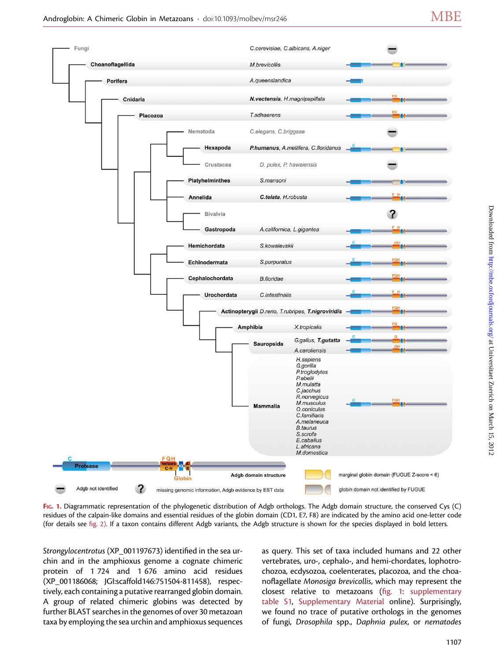

FIG. 1. Diagrammatic representation of the phylogenetic distribution of Adgb orthologs. The Adgb domain structure, the conserved Cys (C) residues of the calpain-like domains and essential residues of the globin domain (CD1, E7, F8) are indicated by the amino acid one-letter code (for details see fig. 2). If a taxon contains different Adgb variants, the Adgb structure is shown for the species displayed in bold letters.

Strongylocentrotus (XP\_001197673) identified in the sea urchin and in the amphioxus genome a cognate chimeric protein of 1 724 and 1 676 amino acid residues (XP\_001186068; JGI:scaffold146:751504-811458), respectively, each containing a putative rearranged globin domain. A group of related chimeric globins was detected by further BLAST searches in the genomes of over 30 metazoan taxa by employing the sea urchin and amphioxus sequences as query. This set of taxa included humans and 22 other vertebrates, uro-, cephalo-, and hemi-chordates, lophotrochozoa, ecdysozoa, coelenterates, placozoa, and the choanoflagellate Monosiga brevicollis, which may represent the closest relative to metazoans (fig. 1: [supplementary](http://www.mbe.oxfordjournals.org/lookup/suppl/doi:10.1093/molbev/msr246/-/DC1) [table S1](http://www.mbe.oxfordjournals.org/lookup/suppl/doi:10.1093/molbev/msr246/-/DC1), [Supplementary Material](http://www.mbe.oxfordjournals.org/lookup/suppl/doi:10.1093/molbev/msr246/-/DC1) online). Surprisingly, we found no trace of putative orthologs in the genomes of fungi, Drosophila spp., Daphnia pulex, or nematodes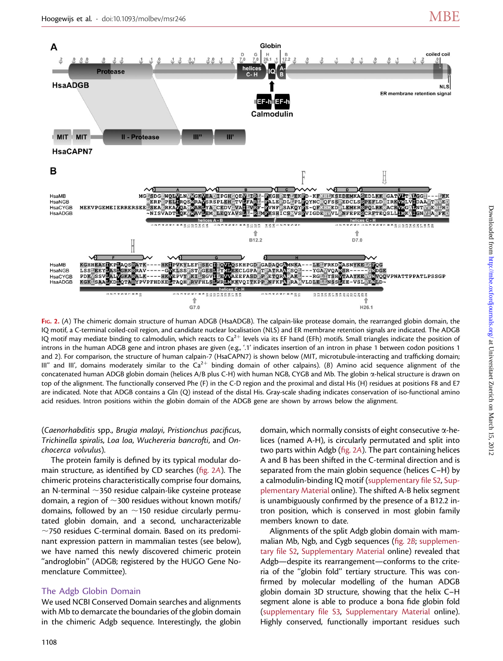

FIG. 2. (A) The chimeric domain structure of human ADGB (HsaADGB). The calpain-like protease domain, the rearranged globin domain, the IQ motif, a C-terminal coiled-coil region, and candidate nuclear localisation (NLS) and ER membrane retention signals are indicated. The ADGB IQ motif may mediate binding to calmodulin, which reacts to  $Ca^{2+}$  levels via its EF hand (EFh) motifs. Small triangles indicate the position of introns in the human ADGB gene and intron phases are given (e.g., '.1' indicates insertion of an intron in phase 1 between codon positions 1 and 2). For comparison, the structure of human calpain-7 (HsaCAPN7) is shown below (MIT, microtubule-interacting and trafficking domain; III" and III', domains moderately similar to the Ca<sup>2+</sup> binding domain of other calpains). (B) Amino acid sequence alignment of the concatenated human ADGB globin domain (helices A/B plus C-H) with human NGB, CYGB and Mb. The globin a-helical structure is drawn on top of the alignment. The functionally conserved Phe (F) in the C-D region and the proximal and distal His (H) residues at positions F8 and E7 are indicated. Note that ADGB contains a Gln (Q) instead of the distal His. Gray-scale shading indicates conservation of iso-functional amino acid residues. Intron positions within the globin domain of the ADGB gene are shown by arrows below the alignment.

#### (Caenorhabditis spp., Brugia malayi, Pristionchus pacificus, Trichinella spiralis, Loa loa, Wuchereria bancrofti, and Onchocerca volvulus).

The protein family is defined by its typical modular domain structure, as identified by CD searches (fig. 2A). The chimeric proteins characteristically comprise four domains, an N-terminal  $\sim$ 350 residue calpain-like cysteine protease domain, a region of  $\sim$ 300 residues without known motifs/ domains, followed by an  $\sim$ 150 residue circularly permutated globin domain, and a second, uncharacterizable  $\sim$ 750 residues C-terminal domain. Based on its predominant expression pattern in mammalian testes (see below), we have named this newly discovered chimeric protein ''androglobin'' (ADGB; registered by the HUGO Gene Nomenclature Committee).

#### The Adgb Globin Domain

We used NCBI Conserved Domain searches and alignments with Mb to demarcate the boundaries of the globin domain in the chimeric Adgb sequence. Interestingly, the globin lices (named A-H), is circularly permutated and split into two parts within Adgb (fig. 2A). The part containing helices A and B has been shifted in the C-terminal direction and is separated from the main globin sequence (helices C–H) by a calmodulin-binding IQ motif ([supplementary file S2,](http://www.mbe.oxfordjournals.org/lookup/suppl/doi:10.1093/molbev/msr246/-/DC1) [Sup](http://www.mbe.oxfordjournals.org/lookup/suppl/doi:10.1093/molbev/msr246/-/DC1)[plementary Material](http://www.mbe.oxfordjournals.org/lookup/suppl/doi:10.1093/molbev/msr246/-/DC1) online). The shifted A-B helix segment is unambiguously confirmed by the presence of a B12.2 intron position, which is conserved in most globin family members known to date. Alignments of the split Adgb globin domain with mam-

domain, which normally consists of eight consecutive  $\alpha$ -he-

malian Mb, Ngb, and Cygb sequences (fig. 2B; [supplemen](http://www.mbe.oxfordjournals.org/lookup/suppl/doi:10.1093/molbev/msr246/-/DC1)[tary file S2,](http://www.mbe.oxfordjournals.org/lookup/suppl/doi:10.1093/molbev/msr246/-/DC1) [Supplementary Material](http://www.mbe.oxfordjournals.org/lookup/suppl/doi:10.1093/molbev/msr246/-/DC1) online) revealed that Adgb—despite its rearrangement—conforms to the criteria of the ''globin fold'' tertiary structure. This was confirmed by molecular modelling of the human ADGB globin domain 3D structure, showing that the helix C–H segment alone is able to produce a bona fide globin fold ([supplementary file S3,](http://www.mbe.oxfordjournals.org/lookup/suppl/doi:10.1093/molbev/msr246/-/DC1) [Supplementary Material](http://www.mbe.oxfordjournals.org/lookup/suppl/doi:10.1093/molbev/msr246/-/DC1) online). Highly conserved, functionally important residues such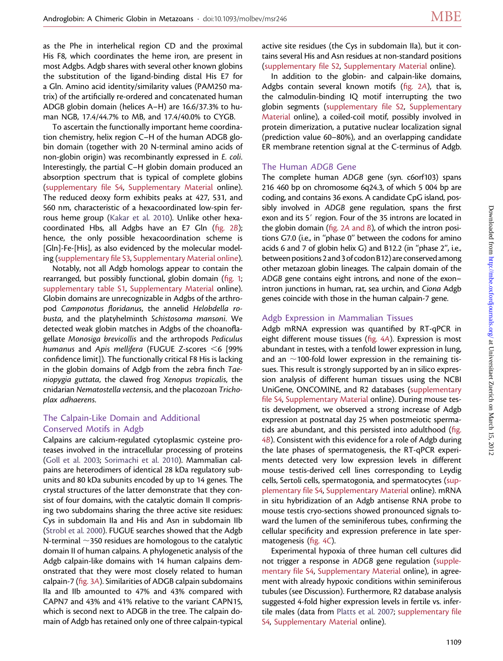as the Phe in interhelical region CD and the proximal His F8, which coordinates the heme iron, are present in most Adgbs. Adgb shares with several other known globins the substitution of the ligand-binding distal His E7 for a Gln. Amino acid identity/similarity values (PAM250 matrix) of the artificially re-ordered and concatenated human ADGB globin domain (helices A–H) are 16.6/37.3% to human NGB, 17.4/44.7% to MB, and 17.4/40.0% to CYGB.

To ascertain the functionally important heme coordination chemistry, helix region C–H of the human ADGB globin domain (together with 20 N-terminal amino acids of non-globin origin) was recombinantly expressed in E. coli. Interestingly, the partial C–H globin domain produced an absorption spectrum that is typical of complete globins [\(supplementary file S4,](http://www.mbe.oxfordjournals.org/lookup/suppl/doi:10.1093/molbev/msr246/-/DC1) [Supplementary Material](http://www.mbe.oxfordjournals.org/lookup/suppl/doi:10.1093/molbev/msr246/-/DC1) online). The reduced deoxy form exhibits peaks at 427, 531, and 560 nm, characteristic of a hexacoordinated low-spin ferrous heme group [\(Kakar et al. 2010](#page-8-0)). Unlike other hexacoordinated Hbs, all Adgbs have an E7 Gln (fig. 2B); hence, the only possible hexacoordination scheme is [Gln]-Fe-[His], as also evidenced by the molecular modeling ([supplementary file S3](http://www.mbe.oxfordjournals.org/lookup/suppl/doi:10.1093/molbev/msr246/-/DC1), [Supplementary Material online\)](http://www.mbe.oxfordjournals.org/lookup/suppl/doi:10.1093/molbev/msr246/-/DC1).

Notably, not all Adgb homologs appear to contain the rearranged, but possibly functional, globin domain (fig. 1; [supplementary table S1](http://www.mbe.oxfordjournals.org/lookup/suppl/doi:10.1093/molbev/msr246/-/DC1), [Supplementary Material](http://www.mbe.oxfordjournals.org/lookup/suppl/doi:10.1093/molbev/msr246/-/DC1) online). Globin domains are unrecognizable in Adgbs of the arthropod Camponotus floridanus, the annelid Helobdella robusta, and the platyhelminth Schistosoma mansoni. We detected weak globin matches in Adgbs of the choanoflagellate Monosiga brevicollis and the arthropods Pediculus humanus and Apis mellifera (FUGUE Z-scores  $\leq 6$  [99% confidence limit]). The functionally critical F8 His is lacking in the globin domains of Adgb from the zebra finch Taeniopygia guttata, the clawed frog Xenopus tropicalis, the cnidarian Nematostella vectensis, and the placozoan Trichoplax adhaerens.

#### The Calpain-Like Domain and Additional Conserved Motifs in Adgb

Calpains are calcium-regulated cytoplasmic cysteine proteases involved in the intracellular processing of proteins [\(Goll et al. 2003](#page-8-0); [Sorimachi et al. 2010](#page-9-0)). Mammalian calpains are heterodimers of identical 28 kDa regulatory subunits and 80 kDa subunits encoded by up to 14 genes. The crystal structures of the latter demonstrate that they consist of four domains, with the catalytic domain II comprising two subdomains sharing the three active site residues: Cys in subdomain IIa and His and Asn in subdomain IIb [\(Strobl et al. 2000](#page-9-0)). FUGUE searches showed that the Adgb N-terminal  $\sim$ 350 residues are homologous to the catalytic domain II of human calpains. A phylogenetic analysis of the Adgb calpain-like domains with 14 human calpains demonstrated that they were most closely related to human calpain-7 (fig. 3A). Similarities of ADGB calpain subdomains IIa and IIb amounted to 47% and 43% compared with CAPN7 and 43% and 41% relative to the variant CAPN15, which is second next to ADGB in the tree. The calpain domain of Adgb has retained only one of three calpain-typical active site residues (the Cys in subdomain IIa), but it contains several His and Asn residues at non-standard positions [\(supplementary file S2,](http://www.mbe.oxfordjournals.org/lookup/suppl/doi:10.1093/molbev/msr246/-/DC1) [Supplementary Material](http://www.mbe.oxfordjournals.org/lookup/suppl/doi:10.1093/molbev/msr246/-/DC1) online).

In addition to the globin- and calpain-like domains, Adgbs contain several known motifs (fig. 2A), that is, the calmodulin-binding IQ motif interrupting the two globin segments [\(supplementary file S2,](http://www.mbe.oxfordjournals.org/lookup/suppl/doi:10.1093/molbev/msr246/-/DC1) [Supplementary](http://www.mbe.oxfordjournals.org/lookup/suppl/doi:10.1093/molbev/msr246/-/DC1) [Material](http://www.mbe.oxfordjournals.org/lookup/suppl/doi:10.1093/molbev/msr246/-/DC1) online), a coiled-coil motif, possibly involved in protein dimerization, a putative nuclear localization signal (prediction value 60–80%), and an overlapping candidate ER membrane retention signal at the C-terminus of Adgb.

#### The Human ADGB Gene

The complete human ADGB gene (syn. c6orf103) spans 216 460 bp on chromosome 6q24.3, of which 5 004 bp are coding, and contains 36 exons. A candidate CpG island, possibly involved in ADGB gene regulation, spans the first exon and its 5' region. Four of the 35 introns are located in the globin domain (fig. 2A and B), of which the intron positions G7.0 (i.e., in ''phase 0'' between the codons for amino acids 6 and 7 of globin helix G) and B12.2 (in ''phase 2'', i.e., between positions 2 and 3 of codon B12) are conserved among other metazoan globin lineages. The calpain domain of the ADGB gene contains eight introns, and none of the exon– intron junctions in human, rat, sea urchin, and Ciona Adgb genes coincide with those in the human calpain-7 gene.

#### Adgb Expression in Mammalian Tissues

Adgb mRNA expression was quantified by RT-qPCR in eight different mouse tissues ( $\frac{f}{g}$ ,  $\frac{4A}{A}$ ). Expression is most abundant in testes, with a tenfold lower expression in lung, and an  $\sim$ 100-fold lower expression in the remaining tissues. This result is strongly supported by an in silico expression analysis of different human tissues using the NCBI UniGene, ONCOMINE, and R2 databases ([supplementary](http://www.mbe.oxfordjournals.org/lookup/suppl/doi:10.1093/molbev/msr246/-/DC1) [file S4,](http://www.mbe.oxfordjournals.org/lookup/suppl/doi:10.1093/molbev/msr246/-/DC1) [Supplementary Material](http://www.mbe.oxfordjournals.org/lookup/suppl/doi:10.1093/molbev/msr246/-/DC1) online). During mouse testis development, we observed a strong increase of Adgb expression at postnatal day 25 when postmeiotic spermatids are abundant, and this persisted into adulthood (fig. 4B). Consistent with this evidence for a role of Adgb during the late phases of spermatogenesis, the RT-qPCR experiments detected very low expression levels in different mouse testis-derived cell lines corresponding to Leydig cells, Sertoli cells, spermatogonia, and spermatocytes ([sup](http://www.mbe.oxfordjournals.org/lookup/suppl/doi:10.1093/molbev/msr246/-/DC1)[plementary file S4,](http://www.mbe.oxfordjournals.org/lookup/suppl/doi:10.1093/molbev/msr246/-/DC1) [Supplementary Material](http://www.mbe.oxfordjournals.org/lookup/suppl/doi:10.1093/molbev/msr246/-/DC1) online). mRNA in situ hybridization of an Adgb antisense RNA probe to mouse testis cryo-sections showed pronounced signals toward the lumen of the seminiferous tubes, confirming the cellular specificity and expression preference in late spermatogenesis (fig. 4C).

Experimental hypoxia of three human cell cultures did not trigger a response in ADGB gene regulation [\(supple](http://www.mbe.oxfordjournals.org/lookup/suppl/doi:10.1093/molbev/msr246/-/DC1)[mentary file S4](http://www.mbe.oxfordjournals.org/lookup/suppl/doi:10.1093/molbev/msr246/-/DC1), [Supplementary Material](http://www.mbe.oxfordjournals.org/lookup/suppl/doi:10.1093/molbev/msr246/-/DC1) online), in agreement with already hypoxic conditions within seminiferous tubules (see Discussion). Furthermore, R2 database analysis suggested 4-fold higher expression levels in fertile vs. infertile males (data from [Platts et al. 2007](#page-9-0); [supplementary file](http://www.mbe.oxfordjournals.org/lookup/suppl/doi:10.1093/molbev/msr246/-/DC1) [S4](http://www.mbe.oxfordjournals.org/lookup/suppl/doi:10.1093/molbev/msr246/-/DC1), [Supplementary Material](http://www.mbe.oxfordjournals.org/lookup/suppl/doi:10.1093/molbev/msr246/-/DC1) online).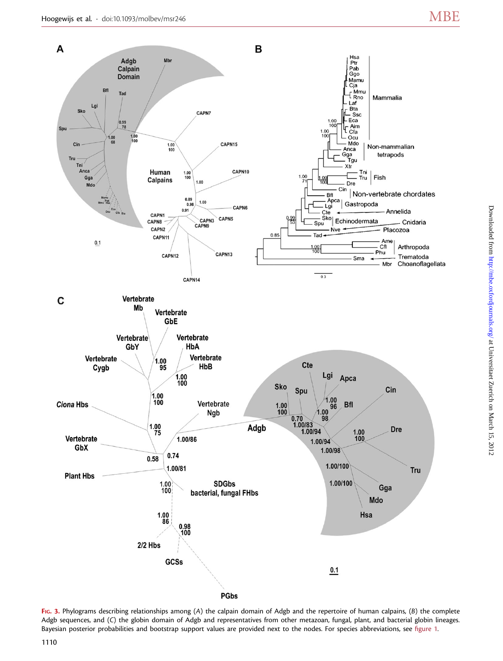

FIG. 3. Phylograms describing relationships among  $(A)$  the calpain domain of Adgb and the repertoire of human calpains,  $(B)$  the complete Adgb sequences, and (C) the globin domain of Adgb and representatives from other metazoan, fungal, plant, and bacterial globin lineages. Bayesian posterior probabilities and bootstrap support values are provided next to the nodes. For species abbreviations, see figure 1.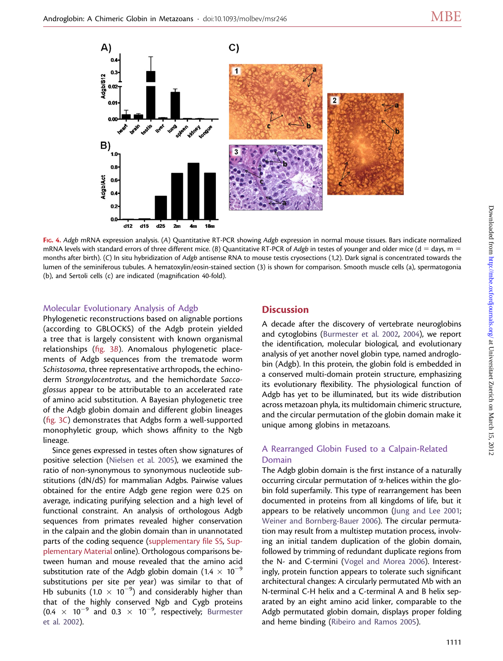

FIG. 4. Adgb mRNA expression analysis. (A) Quantitative RT-PCR showing Adgb expression in normal mouse tissues. Bars indicate normalized mRNA levels with standard errors of three different mice. (B) Quantitative RT-PCR of Adgb in testes of younger and older mice (d = days, m = months after birth). (C) In situ hybridization of Adgb antisense RNA to mouse testis cryosections (1,2). Dark signal is concentrated towards the lumen of the seminiferous tubules. A hematoxylin/eosin-stained section (3) is shown for comparison. Smooth muscle cells (a), spermatogonia (b), and Sertoli cells (c) are indicated (magnification 40-fold).

#### Molecular Evolutionary Analysis of Adgb

Phylogenetic reconstructions based on alignable portions (according to GBLOCKS) of the Adgb protein yielded a tree that is largely consistent with known organismal relationships (fig. 3B). Anomalous phylogenetic placements of Adgb sequences from the trematode worm Schistosoma, three representative arthropods, the echinoderm Strongylocentrotus, and the hemichordate Saccoglossus appear to be attributable to an accelerated rate of amino acid substitution. A Bayesian phylogenetic tree of the Adgb globin domain and different globin lineages (fig. 3C) demonstrates that Adgbs form a well-supported monophyletic group, which shows affinity to the Ngb lineage.

Since genes expressed in testes often show signatures of positive selection [\(Nielsen et al. 2005](#page-9-0)), we examined the ratio of non-synonymous to synonymous nucleotide substitutions (dN/dS) for mammalian Adgbs. Pairwise values obtained for the entire Adgb gene region were 0.25 on average, indicating purifying selection and a high level of functional constraint. An analysis of orthologous Adgb sequences from primates revealed higher conservation in the calpain and the globin domain than in unannotated parts of the coding sequence [\(supplementary file S5,](http://www.mbe.oxfordjournals.org/lookup/suppl/doi:10.1093/molbev/msr246/-/DC1) [Sup](http://www.mbe.oxfordjournals.org/lookup/suppl/doi:10.1093/molbev/msr246/-/DC1)[plementary Material](http://www.mbe.oxfordjournals.org/lookup/suppl/doi:10.1093/molbev/msr246/-/DC1) online). Orthologous comparisons between human and mouse revealed that the amino acid substitution rate of the Adgb globin domain (1.4  $\times$  10 $^{-9}$ substitutions per site per year) was similar to that of Hb subunits  $(1.0 \times 10^{-9})$  and considerably higher than that of the highly conserved Ngb and Cygb proteins  $(0.4 \times 10^{-9}$  and  $0.3 \times 10^{-9}$ , respectively; [Burmester](#page-8-0) [et al. 2002](#page-8-0)).

## **Discussion**

A decade after the discovery of vertebrate neuroglobins and cytoglobins [\(Burmester et al. 2002,](#page-8-0) [2004](#page-8-0)), we report the identification, molecular biological, and evolutionary analysis of yet another novel globin type, named androglobin (Adgb). In this protein, the globin fold is embedded in a conserved multi-domain protein structure, emphasizing its evolutionary flexibility. The physiological function of Adgb has yet to be illuminated, but its wide distribution across metazoan phyla, its multidomain chimeric structure, and the circular permutation of the globin domain make it unique among globins in metazoans.

## A Rearranged Globin Fused to a Calpain-Related Domain

The Adgb globin domain is the first instance of a naturally occurring circular permutation of  $\alpha$ -helices within the globin fold superfamily. This type of rearrangement has been documented in proteins from all kingdoms of life, but it appears to be relatively uncommon ([Jung and Lee 2001](#page-8-0); [Weiner and Bornberg-Bauer 2006](#page-9-0)). The circular permutation may result from a multistep mutation process, involving an initial tandem duplication of the globin domain, followed by trimming of redundant duplicate regions from the N- and C-termini [\(Vogel and Morea 2006\)](#page-9-0). Interestingly, protein function appears to tolerate such significant architectural changes: A circularly permutated Mb with an N-terminal C-H helix and a C-terminal A and B helix separated by an eight amino acid linker, comparable to the Adgb permutated globin domain, displays proper folding and heme binding [\(Ribeiro and Ramos 2005\)](#page-9-0).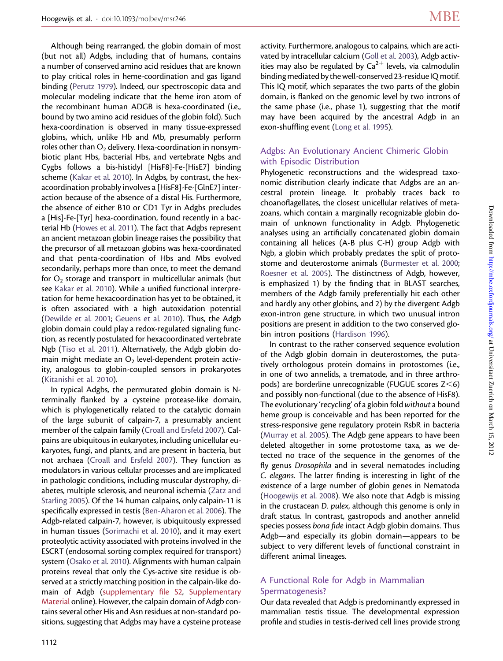Although being rearranged, the globin domain of most (but not all) Adgbs, including that of humans, contains a number of conserved amino acid residues that are known to play critical roles in heme-coordination and gas ligand binding ([Perutz 1979\)](#page-9-0). Indeed, our spectroscopic data and molecular modeling indicate that the heme iron atom of the recombinant human ADGB is hexa-coordinated (i.e., bound by two amino acid residues of the globin fold). Such hexa-coordination is observed in many tissue-expressed globins, which, unlike Hb and Mb, presumably perform roles other than  $O<sub>2</sub>$  delivery. Hexa-coordination in nonsymbiotic plant Hbs, bacterial Hbs, and vertebrate Ngbs and Cygbs follows a bis-histidyl [HisF8]-Fe-[HisE7] binding scheme ([Kakar et al. 2010\)](#page-8-0). In Adgbs, by contrast, the hexacoordination probably involves a [HisF8]-Fe-[GlnE7] interaction because of the absence of a distal His. Furthermore, the absence of either B10 or CD1 Tyr in Adgbs precludes a [His]-Fe-[Tyr] hexa-coordination, found recently in a bacterial Hb [\(Howes et al. 2011\)](#page-8-0). The fact that Adgbs represent an ancient metazoan globin lineage raises the possibility that the precursor of all metazoan globins was hexa-coordinated and that penta-coordination of Hbs and Mbs evolved secondarily, perhaps more than once, to meet the demand for  $O<sub>2</sub>$  storage and transport in multicellular animals (but see [Kakar et al. 2010](#page-8-0)). While a unified functional interpretation for heme hexacoordination has yet to be obtained, it is often associated with a high autoxidation potential [\(Dewilde et al. 2001](#page-8-0); [Geuens et al. 2010\)](#page-8-0). Thus, the Adgb globin domain could play a redox-regulated signaling function, as recently postulated for hexacoordinated vertebrate Ngb ([Tiso et al. 2011\)](#page-9-0). Alternatively, the Adgb globin domain might mediate an  $O<sub>2</sub>$  level-dependent protein activity, analogous to globin-coupled sensors in prokaryotes [\(Kitanishi et al. 2010\)](#page-9-0).

In typical Adgbs, the permutated globin domain is Nterminally flanked by a cysteine protease-like domain, which is phylogenetically related to the catalytic domain of the large subunit of calpain-7, a presumably ancient member of the calpain family [\(Croall and Ersfeld 2007\)](#page-8-0). Calpains are ubiquitous in eukaryotes, including unicellular eukaryotes, fungi, and plants, and are present in bacteria, but not archaea [\(Croall and Ersfeld 2007](#page-8-0)). They function as modulators in various cellular processes and are implicated in pathologic conditions, including muscular dystrophy, diabetes, multiple sclerosis, and neuronal ischemia ([Zatz and](#page-9-0) [Starling 2005\)](#page-9-0). Of the 14 human calpains, only calpain-11 is specifically expressed in testis ([Ben-Aharon et al. 2006](#page-8-0)). The Adgb-related calpain-7, however, is ubiquitously expressed in human tissues ([Sorimachi et al. 2010](#page-9-0)), and it may exert proteolytic activity associated with proteins involved in the ESCRT (endosomal sorting complex required for transport) system [\(Osako et al. 2010\)](#page-9-0). Alignments with human calpain proteins reveal that only the Cys-active site residue is observed at a strictly matching position in the calpain-like domain of Adgb ([supplementary file S2,](http://www.mbe.oxfordjournals.org/lookup/suppl/doi:10.1093/molbev/msr246/-/DC1) [Supplementary](http://www.mbe.oxfordjournals.org/lookup/suppl/doi:10.1093/molbev/msr246/-/DC1) [Material](http://www.mbe.oxfordjournals.org/lookup/suppl/doi:10.1093/molbev/msr246/-/DC1) online). However, the calpain domain of Adgb contains several other His and Asn residues at non-standard positions, suggesting that Adgbs may have a cysteine protease activity. Furthermore, analogous to calpains, which are activated by intracellular calcium ([Goll et al. 2003\)](#page-8-0), Adgb activities may also be regulated by  $Ca^{2+}$  levels, via calmodulin binding mediated by the well-conserved 23-residue IQ motif. This IQ motif, which separates the two parts of the globin domain, is flanked on the genomic level by two introns of the same phase (i.e., phase 1), suggesting that the motif may have been acquired by the ancestral Adgb in an exon-shuffling event [\(Long et al. 1995\)](#page-9-0).

## Adgbs: An Evolutionary Ancient Chimeric Globin with Episodic Distribution

Phylogenetic reconstructions and the widespread taxonomic distribution clearly indicate that Adgbs are an ancestral protein lineage. It probably traces back to choanoflagellates, the closest unicellular relatives of metazoans, which contain a marginally recognizable globin domain of unknown functionality in Adgb. Phylogenetic analyses using an artificially concatenated globin domain containing all helices (A-B plus C-H) group Adgb with Ngb, a globin which probably predates the split of protostome and deuterostome animals ([Burmester et al. 2000](#page-8-0); [Roesner et al. 2005](#page-9-0)). The distinctness of Adgb, however, is emphasized 1) by the finding that in BLAST searches, members of the Adgb family preferentially hit each other and hardly any other globins, and 2) by the divergent Adgb exon-intron gene structure, in which two unusual intron positions are present in addition to the two conserved globin intron positions ([Hardison 1996\)](#page-8-0).

In contrast to the rather conserved sequence evolution of the Adgb globin domain in deuterostomes, the putatively orthologous protein domains in protostomes (i.e., in one of two annelids, a trematode, and in three arthropods) are borderline unrecognizable (FUGUE scores  $Z\leq 6$ ) and possibly non-functional (due to the absence of HisF8). The evolutionary 'recycling' of a globin fold without a bound heme group is conceivable and has been reported for the stress-responsive gene regulatory protein RsbR in bacteria ([Murray et al. 2005](#page-9-0)). The Adgb gene appears to have been deleted altogether in some protostome taxa, as we detected no trace of the sequence in the genomes of the fly genus Drosophila and in several nematodes including C. elegans. The latter finding is interesting in light of the existence of a large number of globin genes in Nematoda ([Hoogewijs et al. 2008](#page-8-0)). We also note that Adgb is missing in the crustacean D. pulex, although this genome is only in draft status. In contrast, gastropods and another annelid species possess bona fide intact Adgb globin domains. Thus Adgb—and especially its globin domain—appears to be subject to very different levels of functional constraint in different animal lineages.

# A Functional Role for Adgb in Mammalian Spermatogenesis?

Our data revealed that Adgb is predominantly expressed in mammalian testis tissue. The developmental expression profile and studies in testis-derived cell lines provide strong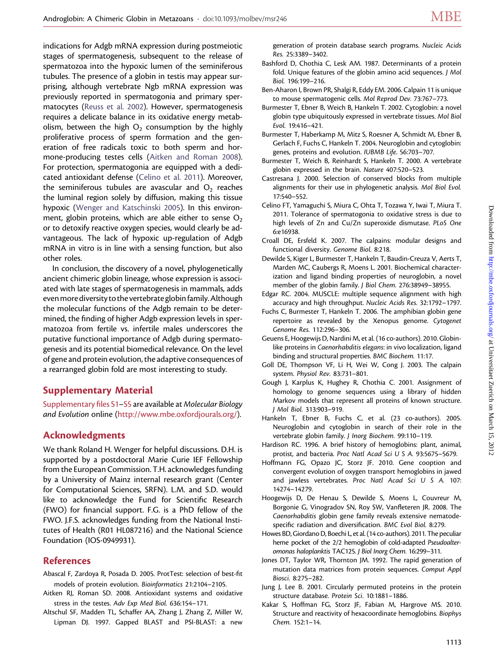<span id="page-8-0"></span>indications for Adgb mRNA expression during postmeiotic stages of spermatogenesis, subsequent to the release of spermatozoa into the hypoxic lumen of the seminiferous tubules. The presence of a globin in testis may appear surprising, although vertebrate Ngb mRNA expression was previously reported in spermatogonia and primary spermatocytes ([Reuss et al. 2002\)](#page-9-0). However, spermatogenesis requires a delicate balance in its oxidative energy metabolism, between the high  $O<sub>2</sub>$  consumption by the highly proliferative process of sperm formation and the generation of free radicals toxic to both sperm and hormone-producing testes cells (Aitken and Roman 2008). For protection, spermatogonia are equipped with a dedicated antioxidant defense (Celino et al. 2011). Moreover, the seminiferous tubules are avascular and  $O<sub>2</sub>$  reaches the luminal region solely by diffusion, making this tissue hypoxic ([Wenger and Katschinski 2005](#page-9-0)). In this environment, globin proteins, which are able either to sense  $O<sub>2</sub>$ or to detoxify reactive oxygen species, would clearly be advantageous. The lack of hypoxic up-regulation of Adgb mRNA in vitro is in line with a sensing function, but also other roles.

In conclusion, the discovery of a novel, phylogenetically ancient chimeric globin lineage, whose expression is associated with late stages of spermatogenesis in mammals, adds even more diversity to the vertebrate globin family. Although the molecular functions of the Adgb remain to be determined, the finding of higher Adgb expression levels in spermatozoa from fertile vs. infertile males underscores the putative functional importance of Adgb during spermatogenesis and its potential biomedical relevance. On the level of gene and protein evolution, the adaptive consequences of a rearranged globin fold are most interesting to study.

## Supplementary Material

[Supplementary files S1–S5](http://www.mbe.oxfordjournals.org/lookup/suppl/doi:10.1093/molbev/msr246/-/DC1) are available at Molecular Biology and Evolution online [\(http://www.mbe.oxfordjourals.org/](http://www.mbe.oxfordjourals.org/)).

## Acknowledgments

We thank Roland H. Wenger for helpful discussions. D.H. is supported by a postdoctoral Marie Curie IEF Fellowship from the European Commission. T.H. acknowledges funding by a University of Mainz internal research grant (Center for Computational Sciences, SRFN). L.M. and S.D. would like to acknowledge the Fund for Scientific Research (FWO) for financial support. F.G. is a PhD fellow of the FWO. J.F.S. acknowledges funding from the National Institutes of Health (R01 HL087216) and the National Science Foundation (IOS-0949931).

## References

- Abascal F, Zardoya R, Posada D. 2005. ProtTest: selection of best-fit models of protein evolution. Bioinformatics 21:2104–2105.
- Aitken RJ, Roman SD. 2008. Antioxidant systems and oxidative stress in the testes. Adv Exp Med Biol. 636:154–171.
- Altschul SF, Madden TL, Schaffer AA, Zhang J, Zhang Z, Miller W, Lipman DJ. 1997. Gapped BLAST and PSI-BLAST: a new

generation of protein database search programs. Nucleic Acids Res. 25:3389–3402.

- Bashford D, Chothia C, Lesk AM. 1987. Determinants of a protein fold. Unique features of the globin amino acid sequences. J Mol Biol. 196:199–216.
- Ben-Aharon I, Brown PR, Shalgi R, Eddy EM. 2006. Calpain 11 is unique to mouse spermatogenic cells. Mol Reprod Dev. 73:767–773.
- Burmester T, Ebner B, Weich B, Hankeln T. 2002. Cytoglobin: a novel globin type ubiquitously expressed in vertebrate tissues. Mol Biol Evol. 19:416–421.
- Burmester T, Haberkamp M, Mitz S, Roesner A, Schmidt M, Ebner B, Gerlach F, Fuchs C, Hankeln T. 2004. Neuroglobin and cytoglobin: genes, proteins and evolution. IUBMB Life. 56:703–707.
- Burmester T, Weich B, Reinhardt S, Hankeln T. 2000. A vertebrate globin expressed in the brain. Nature 407:520–523.
- Castresana J. 2000. Selection of conserved blocks from multiple alignments for their use in phylogenetic analysis. Mol Biol Evol. 17:540–552.
- Celino FT, Yamaguchi S, Miura C, Ohta T, Tozawa Y, Iwai T, Miura T. 2011. Tolerance of spermatogonia to oxidative stress is due to high levels of Zn and Cu/Zn superoxide dismutase. PLoS One 6:e16938.
- Croall DE, Ersfeld K. 2007. The calpains: modular designs and functional diversity. Genome Biol. 8:218.
- Dewilde S, Kiger L, Burmester T, Hankeln T, Baudin-Creuza V, Aerts T, Marden MC, Caubergs R, Moens L. 2001. Biochemical characterization and ligand binding properties of neuroglobin, a novel member of the globin family. J Biol Chem. 276:38949–38955.
- Edgar RC. 2004. MUSCLE: multiple sequence alignment with high accuracy and high throughput. Nucleic Acids Res. 32:1792–1797.
- Fuchs C, Burmester T, Hankeln T. 2006. The amphibian globin gene repertoire as revealed by the Xenopus genome. Cytogenet Genome Res. 112:296–306.
- Geuens E, Hoogewijs D, Nardini M, et al. (16 co-authors). 2010. Globinlike proteins in Caenorhabditis elegans: in vivo localization, ligand binding and structural properties. BMC Biochem. 11:17.
- Goll DE, Thompson VF, Li H, Wei W, Cong J. 2003. The calpain system. Physiol Rev. 83:731–801.
- Gough J, Karplus K, Hughey R, Chothia C. 2001. Assignment of homology to genome sequences using a library of hidden Markov models that represent all proteins of known structure. J Mol Biol. 313:903–919.
- Hankeln T, Ebner B, Fuchs C, et al. (23 co-authors). 2005. Neuroglobin and cytoglobin in search of their role in the vertebrate globin family. J Inorg Biochem. 99:110–119.
- Hardison RC. 1996. A brief history of hemoglobins: plant, animal, protist, and bacteria. Proc Natl Acad Sci U S A. 93:5675–5679.
- Hoffmann FG, Opazo JC, Storz JF. 2010. Gene cooption and convergent evolution of oxygen transport hemoglobins in jawed and jawless vertebrates. Proc Natl Acad Sci U S A. 107: 14274–14279.
- Hoogewijs D, De Henau S, Dewilde S, Moens L, Couvreur M, Borgonie G, Vinogradov SN, Roy SW, Vanfleteren JR. 2008. The Caenorhabditis globin gene family reveals extensive nematodespecific radiation and diversification. BMC Evol Biol. 8:279.
- Howes BD, Giordano D, Boechi L, et al. (14 co-authors). 2011. The peculiar heme pocket of the 2/2 hemoglobin of cold-adapted Pseudoalteromonas haloplanktis TAC125. J Biol Inorg Chem. 16:299–311.
- Jones DT, Taylor WR, Thornton JM. 1992. The rapid generation of mutation data matrices from protein sequences. Comput Appl Biosci. 8:275–282.
- Jung J, Lee B. 2001. Circularly permuted proteins in the protein structure database. Protein Sci. 10:1881–1886.
- Kakar S, Hoffman FG, Storz JF, Fabian M, Hargrove MS. 2010. Structure and reactivity of hexacoordinate hemoglobins. Biophys Chem. 152:1–14.